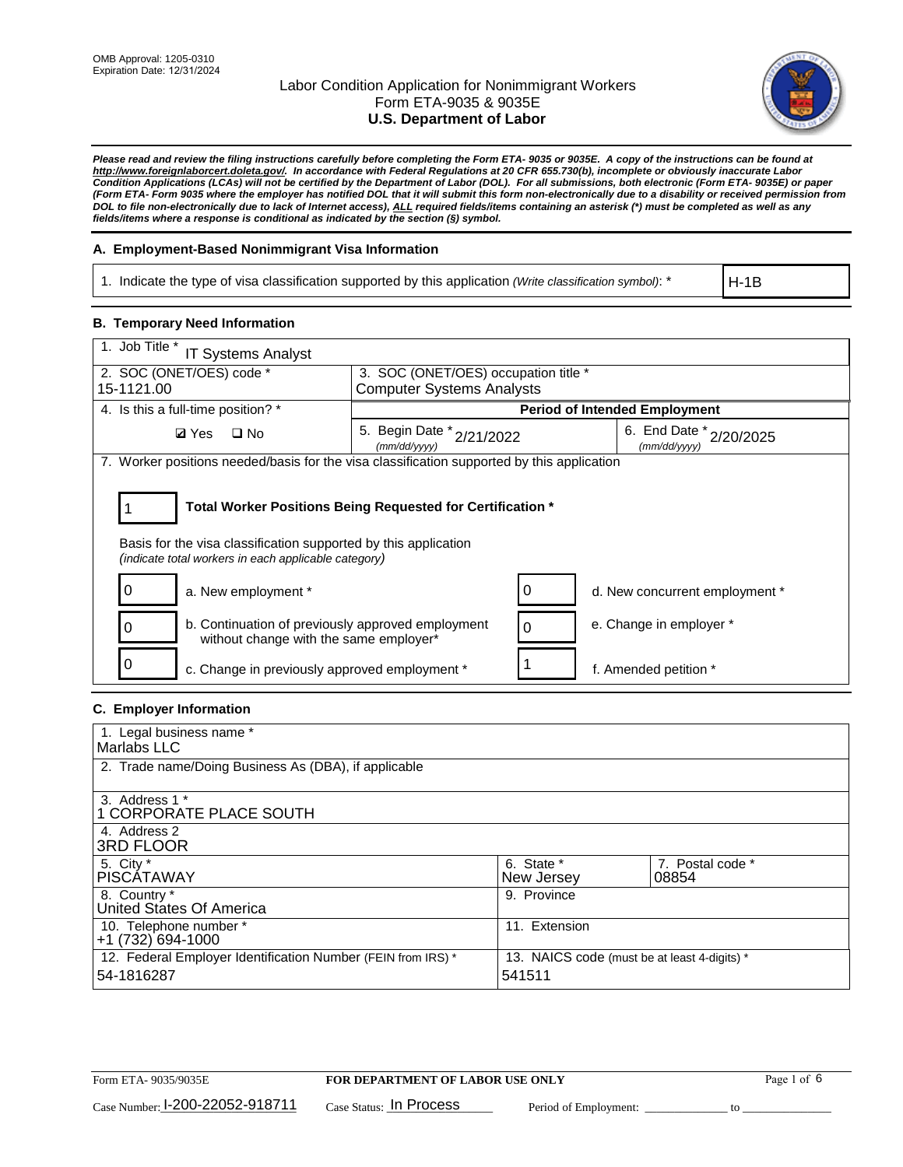

*Please read and review the filing instructions carefully before completing the Form ETA- 9035 or 9035E. A copy of the instructions can be found at http://www.foreignlaborcert.doleta.gov/. In accordance with Federal Regulations at 20 CFR 655.730(b), incomplete or obviously inaccurate Labor Condition Applications (LCAs) will not be certified by the Department of Labor (DOL). For all submissions, both electronic (Form ETA- 9035E) or paper (Form ETA- Form 9035 where the employer has notified DOL that it will submit this form non-electronically due to a disability or received permission from DOL to file non-electronically due to lack of Internet access), ALL required fields/items containing an asterisk (\*) must be completed as well as any fields/items where a response is conditional as indicated by the section (§) symbol.* 

### **A. Employment-Based Nonimmigrant Visa Information**

1. Indicate the type of visa classification supported by this application *(Write classification symbol)*: \*

H-1B

#### **B. Temporary Need Information**

| 1. Job Title *<br><b>IT Systems Analyst</b>                                                                                                                                           |                                                                          |   |                                             |  |  |  |
|---------------------------------------------------------------------------------------------------------------------------------------------------------------------------------------|--------------------------------------------------------------------------|---|---------------------------------------------|--|--|--|
| 2. SOC (ONET/OES) code *<br>15-1121.00                                                                                                                                                | 3. SOC (ONET/OES) occupation title *<br><b>Computer Systems Analysts</b> |   |                                             |  |  |  |
|                                                                                                                                                                                       |                                                                          |   |                                             |  |  |  |
| 4. Is this a full-time position? *                                                                                                                                                    |                                                                          |   | <b>Period of Intended Employment</b>        |  |  |  |
| $\square$ No<br><b>Ø</b> Yes                                                                                                                                                          | 5. Begin Date *<br>2/21/2022<br>(mm/dd/yyyy)                             |   | 6. End Date $*_{2/20/2025}$<br>(mm/dd/vvvv) |  |  |  |
| 7. Worker positions needed/basis for the visa classification supported by this application                                                                                            |                                                                          |   |                                             |  |  |  |
| Total Worker Positions Being Requested for Certification *<br>Basis for the visa classification supported by this application<br>(indicate total workers in each applicable category) |                                                                          |   |                                             |  |  |  |
| a. New employment *                                                                                                                                                                   |                                                                          |   | d. New concurrent employment *              |  |  |  |
| b. Continuation of previously approved employment<br>without change with the same employer*                                                                                           |                                                                          | 0 | e. Change in employer *                     |  |  |  |
| c. Change in previously approved employment *                                                                                                                                         |                                                                          |   | f. Amended petition *                       |  |  |  |

### **C. Employer Information**

| 1. Legal business name *                                                   |                                                        |                           |
|----------------------------------------------------------------------------|--------------------------------------------------------|---------------------------|
| Marlabs LLC                                                                |                                                        |                           |
| 2. Trade name/Doing Business As (DBA), if applicable                       |                                                        |                           |
| 3. Address 1 *<br>1 CORPORATE PLACE SOUTH<br>4. Address 2                  |                                                        |                           |
| <b>3RD FLOOR</b>                                                           |                                                        |                           |
| 5. City *<br><b>PISCÁTAWAY</b>                                             | 6. State *<br>New Jersey                               | 7. Postal code *<br>08854 |
| 8. Country *<br>United States Of America                                   | 9. Province                                            |                           |
| 10. Telephone number *<br>$+1(732)694-1000$                                | 11. Extension                                          |                           |
| 12. Federal Employer Identification Number (FEIN from IRS) *<br>54-1816287 | 13. NAICS code (must be at least 4-digits) *<br>541511 |                           |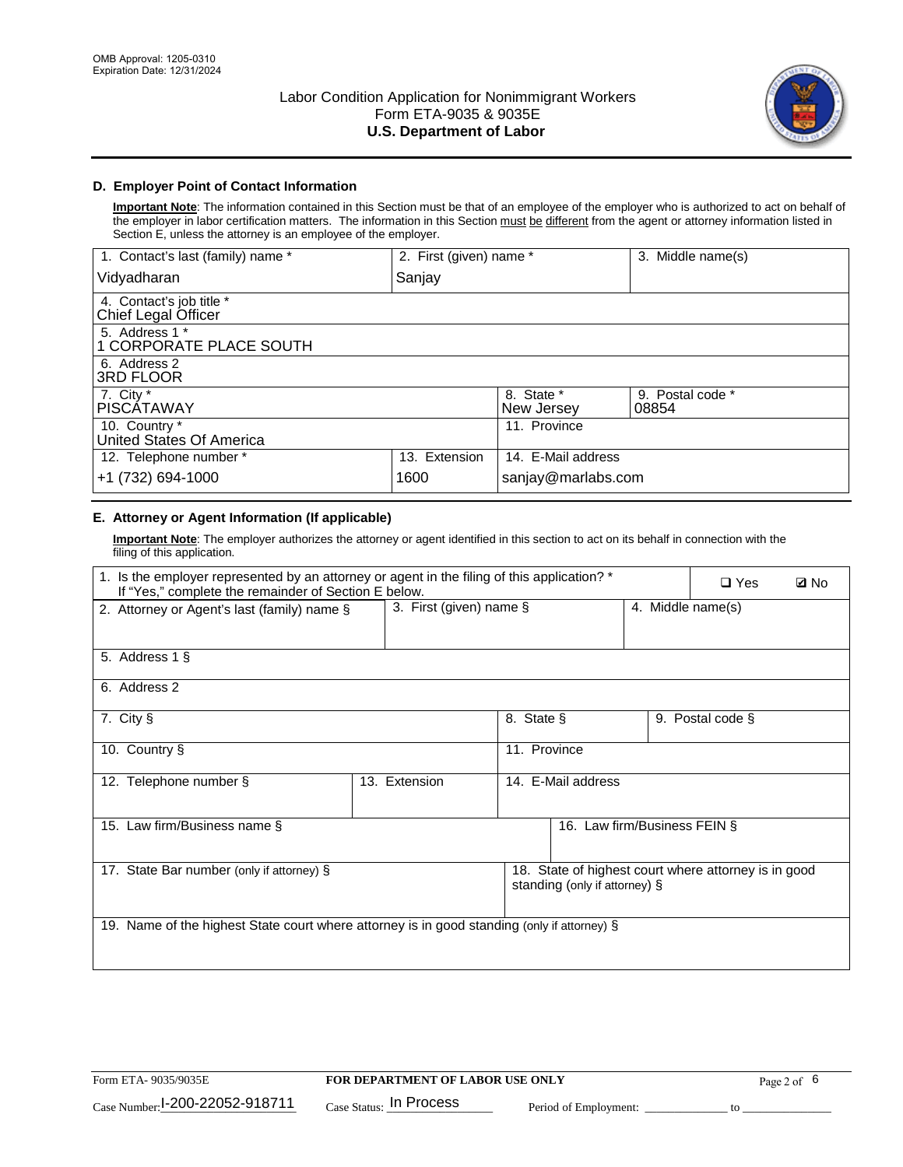

# **D. Employer Point of Contact Information**

**Important Note**: The information contained in this Section must be that of an employee of the employer who is authorized to act on behalf of the employer in labor certification matters. The information in this Section must be different from the agent or attorney information listed in Section E, unless the attorney is an employee of the employer.

| 1. Contact's last (family) name *               | 2. First (given) name * |                          | 3. Middle name(s)         |
|-------------------------------------------------|-------------------------|--------------------------|---------------------------|
| Vidyadharan                                     | Sanjay                  |                          |                           |
| 4. Contact's job title *<br>Chief Legal Officer |                         |                          |                           |
| 5. Address 1 *<br>1 CORPORATE PLACE SOUTH       |                         |                          |                           |
| 6. Address 2<br><b>3RD FLOOR</b>                |                         |                          |                           |
| 7. City *<br><b>PISCÁTAWAY</b>                  |                         | 8. State *<br>New Jersey | 9. Postal code *<br>08854 |
| 10. Country *<br>United States Of America       |                         | 11. Province             |                           |
| 12. Telephone number *                          | 13. Extension           | 14. E-Mail address       |                           |
| +1 (732) 694-1000                               | 1600                    | sanjay@marlabs.com       |                           |

# **E. Attorney or Agent Information (If applicable)**

**Important Note**: The employer authorizes the attorney or agent identified in this section to act on its behalf in connection with the filing of this application.

| 1. Is the employer represented by an attorney or agent in the filing of this application? *<br>If "Yes," complete the remainder of Section E below. |                            |              |                               |                   |                                                      | <b>Ø</b> No |
|-----------------------------------------------------------------------------------------------------------------------------------------------------|----------------------------|--------------|-------------------------------|-------------------|------------------------------------------------------|-------------|
| 2. Attorney or Agent's last (family) name §                                                                                                         | 3. First (given) name $\S$ |              |                               | 4. Middle name(s) |                                                      |             |
| 5. Address 1 §                                                                                                                                      |                            |              |                               |                   |                                                      |             |
| 6. Address 2                                                                                                                                        |                            |              |                               |                   |                                                      |             |
| 7. City §                                                                                                                                           |                            | 8. State §   |                               |                   | 9. Postal code §                                     |             |
| 10. Country §                                                                                                                                       |                            | 11. Province |                               |                   |                                                      |             |
| 12. Telephone number §                                                                                                                              | 13. Extension              |              | 14. E-Mail address            |                   |                                                      |             |
| 15. Law firm/Business name §                                                                                                                        |                            |              | 16. Law firm/Business FEIN §  |                   |                                                      |             |
| 17. State Bar number (only if attorney) §                                                                                                           |                            |              | standing (only if attorney) § |                   | 18. State of highest court where attorney is in good |             |
| 19. Name of the highest State court where attorney is in good standing (only if attorney) §                                                         |                            |              |                               |                   |                                                      |             |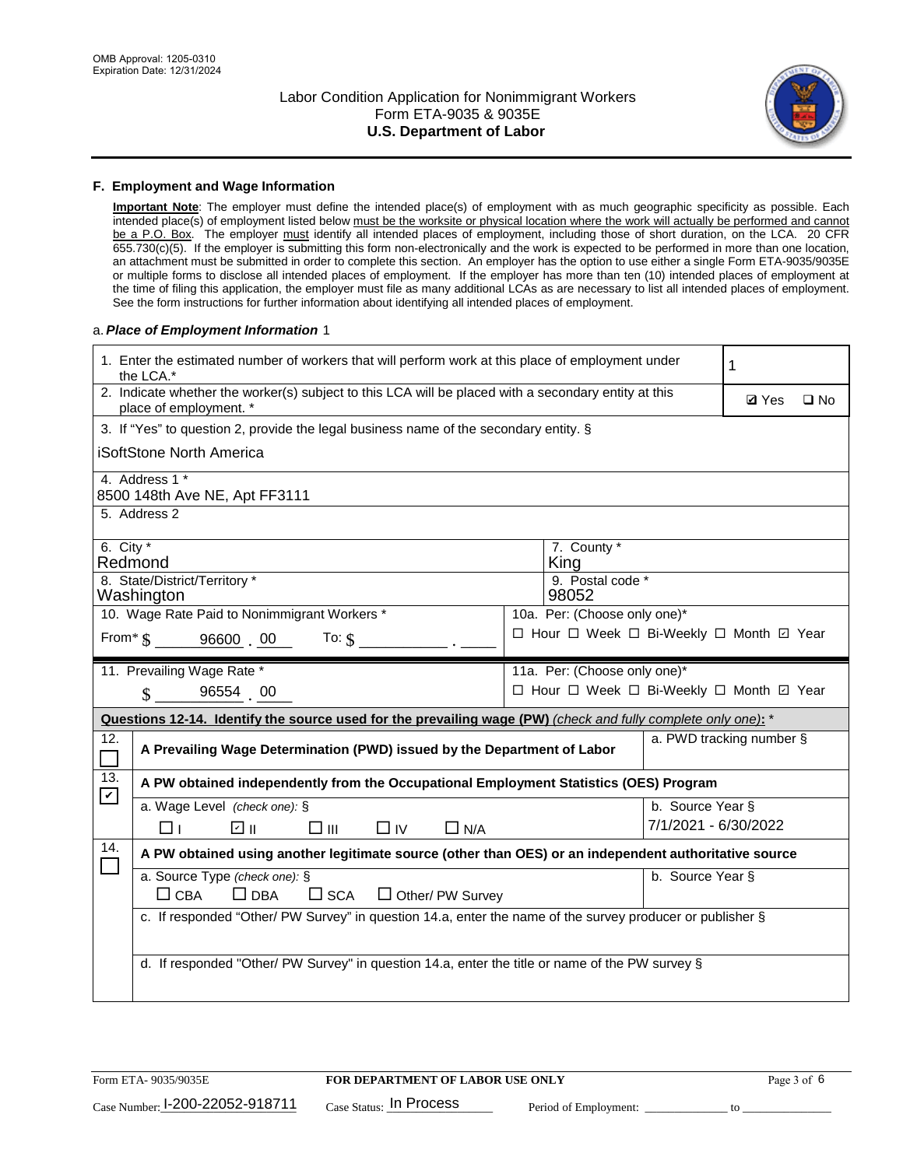

#### **F. Employment and Wage Information**

**Important Note**: The employer must define the intended place(s) of employment with as much geographic specificity as possible. Each intended place(s) of employment listed below must be the worksite or physical location where the work will actually be performed and cannot be a P.O. Box. The employer must identify all intended places of employment, including those of short duration, on the LCA. 20 CFR 655.730(c)(5). If the employer is submitting this form non-electronically and the work is expected to be performed in more than one location, an attachment must be submitted in order to complete this section. An employer has the option to use either a single Form ETA-9035/9035E or multiple forms to disclose all intended places of employment. If the employer has more than ten (10) intended places of employment at the time of filing this application, the employer must file as many additional LCAs as are necessary to list all intended places of employment. See the form instructions for further information about identifying all intended places of employment.

#### a.*Place of Employment Information* 1

|                                              | 1. Enter the estimated number of workers that will perform work at this place of employment under<br>the LCA.*                 |  |                                          |                          |              |              |  |
|----------------------------------------------|--------------------------------------------------------------------------------------------------------------------------------|--|------------------------------------------|--------------------------|--------------|--------------|--|
|                                              | 2. Indicate whether the worker(s) subject to this LCA will be placed with a secondary entity at this<br>place of employment. * |  |                                          |                          | <b>Ø</b> Yes | $\square$ No |  |
|                                              | 3. If "Yes" to question 2, provide the legal business name of the secondary entity. §                                          |  |                                          |                          |              |              |  |
|                                              | iSoftStone North America                                                                                                       |  |                                          |                          |              |              |  |
|                                              | 4. Address 1 *<br>8500 148th Ave NE, Apt FF3111                                                                                |  |                                          |                          |              |              |  |
|                                              | 5. Address 2                                                                                                                   |  |                                          |                          |              |              |  |
|                                              | 6. City $*$<br>7. County *<br>Redmond<br>King                                                                                  |  |                                          |                          |              |              |  |
|                                              | 8. State/District/Territory *<br>9. Postal code *<br>Washington<br>98052                                                       |  |                                          |                          |              |              |  |
| 10. Wage Rate Paid to Nonimmigrant Workers * |                                                                                                                                |  | 10a. Per: (Choose only one)*             |                          |              |              |  |
|                                              | □ Hour □ Week □ Bi-Weekly □ Month □ Year<br>From $*$ $\S$ 96600 00 To: $\S$                                                    |  |                                          |                          |              |              |  |
|                                              | 11. Prevailing Wage Rate *                                                                                                     |  | 11a. Per: (Choose only one)*             |                          |              |              |  |
|                                              | $\sin 96554$ 00                                                                                                                |  | □ Hour □ Week □ Bi-Weekly □ Month ☑ Year |                          |              |              |  |
|                                              | Questions 12-14. Identify the source used for the prevailing wage (PW) (check and fully complete only one): *                  |  |                                          |                          |              |              |  |
| 12.<br>$\Box$                                | A Prevailing Wage Determination (PWD) issued by the Department of Labor                                                        |  |                                          | a. PWD tracking number § |              |              |  |
| 13.                                          | A PW obtained independently from the Occupational Employment Statistics (OES) Program                                          |  |                                          |                          |              |              |  |
| $\boldsymbol{\mathcal{V}}$                   | a. Wage Level (check one): §                                                                                                   |  |                                          | b. Source Year §         |              |              |  |
|                                              | பெ<br>$\square$ $\square$<br>□⊥<br>$\Box$ IV<br>$\Box$ N/A                                                                     |  |                                          | 7/1/2021 - 6/30/2022     |              |              |  |
| 14.                                          | A PW obtained using another legitimate source (other than OES) or an independent authoritative source                          |  |                                          |                          |              |              |  |
|                                              | a. Source Type (check one): §                                                                                                  |  |                                          | b. Source Year §         |              |              |  |
|                                              | $\Box$ CBA<br>$\Box$ DBA<br>$\square$ SCA<br>$\Box$ Other/ PW Survey                                                           |  |                                          |                          |              |              |  |
|                                              | c. If responded "Other/ PW Survey" in question 14.a, enter the name of the survey producer or publisher §                      |  |                                          |                          |              |              |  |
|                                              |                                                                                                                                |  |                                          |                          |              |              |  |
|                                              | d. If responded "Other/ PW Survey" in question 14.a, enter the title or name of the PW survey §                                |  |                                          |                          |              |              |  |
|                                              |                                                                                                                                |  |                                          |                          |              |              |  |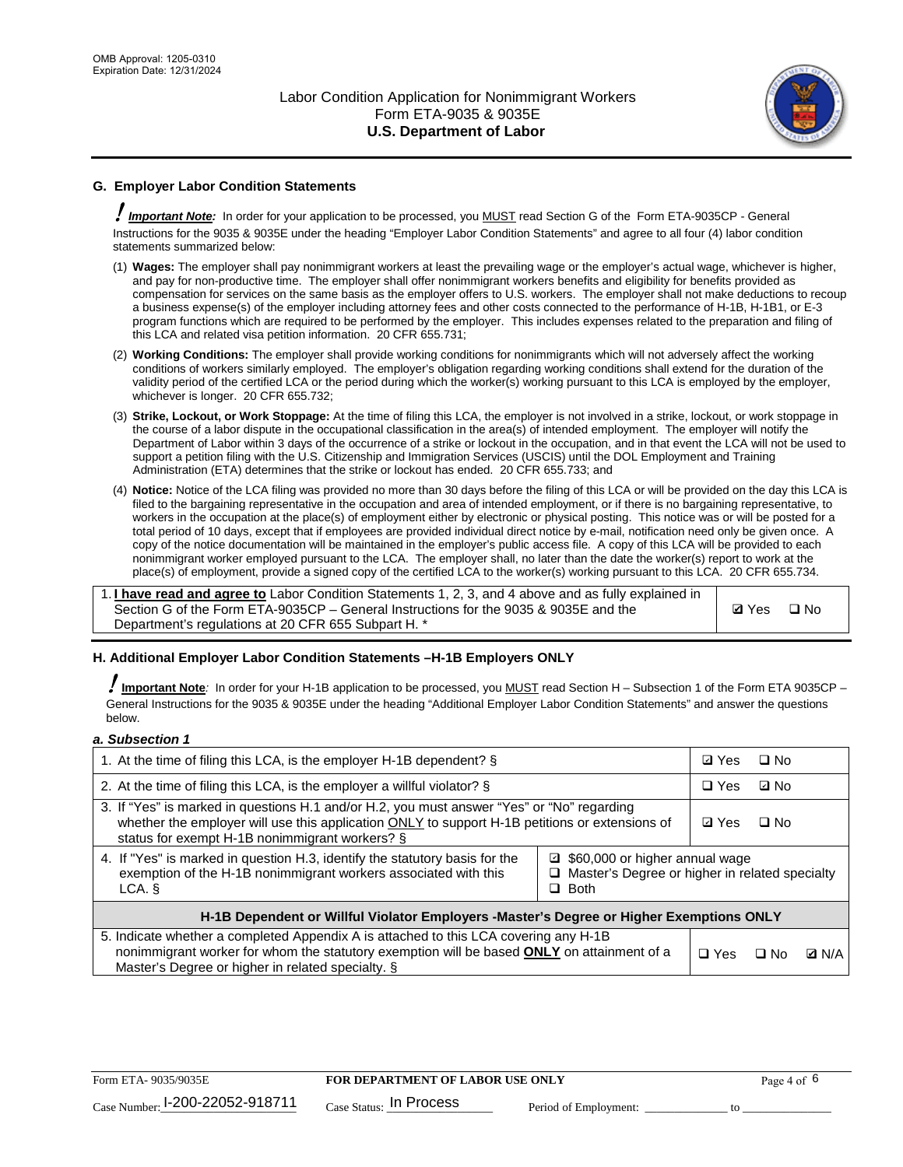

# **G. Employer Labor Condition Statements**

! *Important Note:* In order for your application to be processed, you MUST read Section G of the Form ETA-9035CP - General Instructions for the 9035 & 9035E under the heading "Employer Labor Condition Statements" and agree to all four (4) labor condition statements summarized below:

- (1) **Wages:** The employer shall pay nonimmigrant workers at least the prevailing wage or the employer's actual wage, whichever is higher, and pay for non-productive time. The employer shall offer nonimmigrant workers benefits and eligibility for benefits provided as compensation for services on the same basis as the employer offers to U.S. workers. The employer shall not make deductions to recoup a business expense(s) of the employer including attorney fees and other costs connected to the performance of H-1B, H-1B1, or E-3 program functions which are required to be performed by the employer. This includes expenses related to the preparation and filing of this LCA and related visa petition information. 20 CFR 655.731;
- (2) **Working Conditions:** The employer shall provide working conditions for nonimmigrants which will not adversely affect the working conditions of workers similarly employed. The employer's obligation regarding working conditions shall extend for the duration of the validity period of the certified LCA or the period during which the worker(s) working pursuant to this LCA is employed by the employer, whichever is longer. 20 CFR 655.732;
- (3) **Strike, Lockout, or Work Stoppage:** At the time of filing this LCA, the employer is not involved in a strike, lockout, or work stoppage in the course of a labor dispute in the occupational classification in the area(s) of intended employment. The employer will notify the Department of Labor within 3 days of the occurrence of a strike or lockout in the occupation, and in that event the LCA will not be used to support a petition filing with the U.S. Citizenship and Immigration Services (USCIS) until the DOL Employment and Training Administration (ETA) determines that the strike or lockout has ended. 20 CFR 655.733; and
- (4) **Notice:** Notice of the LCA filing was provided no more than 30 days before the filing of this LCA or will be provided on the day this LCA is filed to the bargaining representative in the occupation and area of intended employment, or if there is no bargaining representative, to workers in the occupation at the place(s) of employment either by electronic or physical posting. This notice was or will be posted for a total period of 10 days, except that if employees are provided individual direct notice by e-mail, notification need only be given once. A copy of the notice documentation will be maintained in the employer's public access file. A copy of this LCA will be provided to each nonimmigrant worker employed pursuant to the LCA. The employer shall, no later than the date the worker(s) report to work at the place(s) of employment, provide a signed copy of the certified LCA to the worker(s) working pursuant to this LCA. 20 CFR 655.734.

1. **I have read and agree to** Labor Condition Statements 1, 2, 3, and 4 above and as fully explained in Section G of the Form ETA-9035CP – General Instructions for the 9035 & 9035E and the Department's regulations at 20 CFR 655 Subpart H. \*

**Ø**Yes ロNo

### **H. Additional Employer Labor Condition Statements –H-1B Employers ONLY**

!**Important Note***:* In order for your H-1B application to be processed, you MUST read Section H – Subsection 1 of the Form ETA 9035CP – General Instructions for the 9035 & 9035E under the heading "Additional Employer Labor Condition Statements" and answer the questions below.

#### *a. Subsection 1*

| 1. At the time of filing this LCA, is the employer H-1B dependent? §                                                                                                                                                                                            |  | ⊡ Yes      | $\square$ No |              |
|-----------------------------------------------------------------------------------------------------------------------------------------------------------------------------------------------------------------------------------------------------------------|--|------------|--------------|--------------|
| 2. At the time of filing this LCA, is the employer a willful violator? $\S$                                                                                                                                                                                     |  | $\Box$ Yes | ⊡ No         |              |
| 3. If "Yes" is marked in questions H.1 and/or H.2, you must answer "Yes" or "No" regarding<br>whether the employer will use this application ONLY to support H-1B petitions or extensions of<br>status for exempt H-1B nonimmigrant workers? §                  |  |            | $\Box$ No    |              |
| 4. If "Yes" is marked in question H.3, identify the statutory basis for the<br>■ \$60,000 or higher annual wage<br>exemption of the H-1B nonimmigrant workers associated with this<br>□ Master's Degree or higher in related specialty<br>$\Box$ Both<br>LCA. § |  |            |              |              |
| H-1B Dependent or Willful Violator Employers -Master's Degree or Higher Exemptions ONLY                                                                                                                                                                         |  |            |              |              |
| 5. Indicate whether a completed Appendix A is attached to this LCA covering any H-1B<br>nonimmigrant worker for whom the statutory exemption will be based <b>ONLY</b> on attainment of a<br>Master's Degree or higher in related specialty. §                  |  |            | ⊡ No         | <b>Q</b> N/A |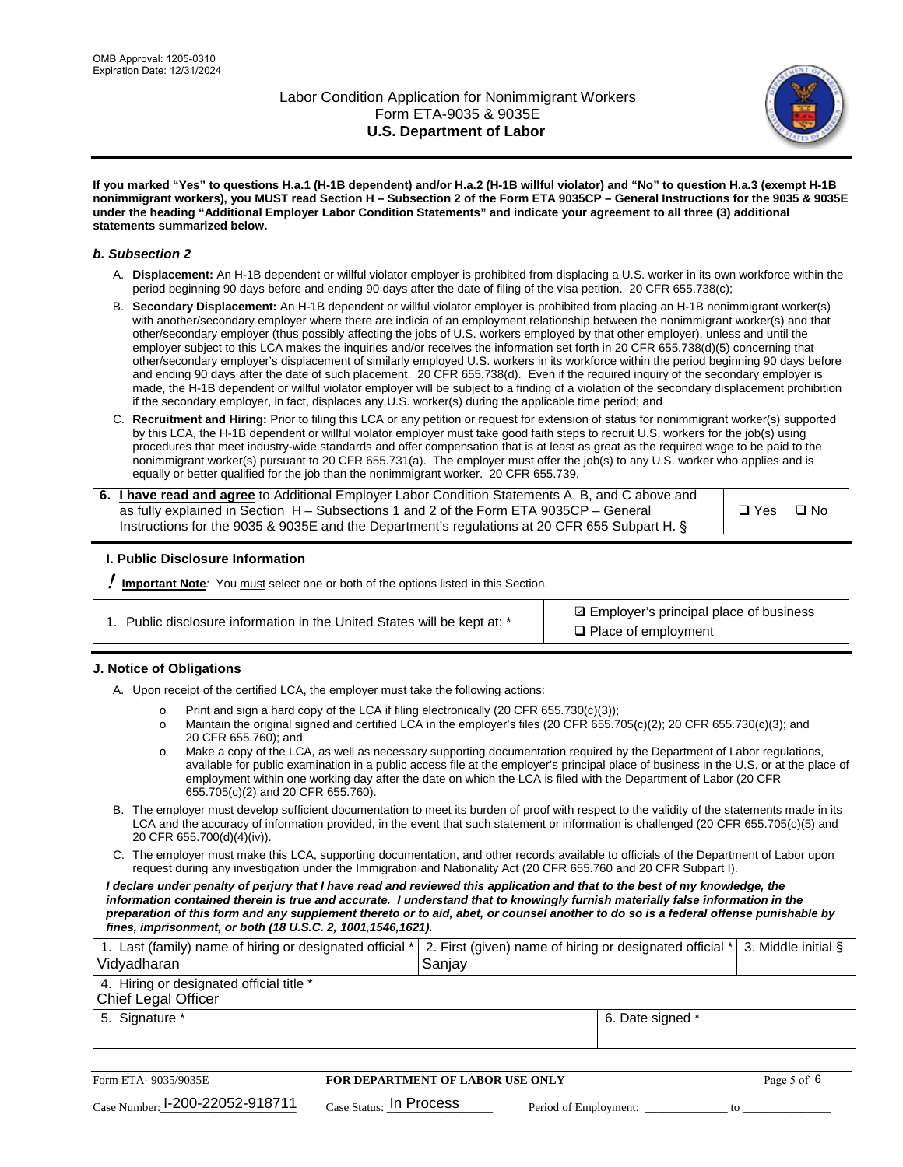

**If you marked "Yes" to questions H.a.1 (H-1B dependent) and/or H.a.2 (H-1B willful violator) and "No" to question H.a.3 (exempt H-1B nonimmigrant workers), you MUST read Section H – Subsection 2 of the Form ETA 9035CP – General Instructions for the 9035 & 9035E under the heading "Additional Employer Labor Condition Statements" and indicate your agreement to all three (3) additional statements summarized below.**

#### *b. Subsection 2*

- A. **Displacement:** An H-1B dependent or willful violator employer is prohibited from displacing a U.S. worker in its own workforce within the period beginning 90 days before and ending 90 days after the date of filing of the visa petition. 20 CFR 655.738(c);
- B. **Secondary Displacement:** An H-1B dependent or willful violator employer is prohibited from placing an H-1B nonimmigrant worker(s) with another/secondary employer where there are indicia of an employment relationship between the nonimmigrant worker(s) and that other/secondary employer (thus possibly affecting the jobs of U.S. workers employed by that other employer), unless and until the employer subject to this LCA makes the inquiries and/or receives the information set forth in 20 CFR 655.738(d)(5) concerning that other/secondary employer's displacement of similarly employed U.S. workers in its workforce within the period beginning 90 days before and ending 90 days after the date of such placement. 20 CFR 655.738(d). Even if the required inquiry of the secondary employer is made, the H-1B dependent or willful violator employer will be subject to a finding of a violation of the secondary displacement prohibition if the secondary employer, in fact, displaces any U.S. worker(s) during the applicable time period; and
- C. **Recruitment and Hiring:** Prior to filing this LCA or any petition or request for extension of status for nonimmigrant worker(s) supported by this LCA, the H-1B dependent or willful violator employer must take good faith steps to recruit U.S. workers for the job(s) using procedures that meet industry-wide standards and offer compensation that is at least as great as the required wage to be paid to the nonimmigrant worker(s) pursuant to 20 CFR 655.731(a). The employer must offer the job(s) to any U.S. worker who applies and is equally or better qualified for the job than the nonimmigrant worker. 20 CFR 655.739.

| 6. I have read and agree to Additional Employer Labor Condition Statements A, B, and C above and |       |           |
|--------------------------------------------------------------------------------------------------|-------|-----------|
| as fully explained in Section H – Subsections 1 and 2 of the Form ETA 9035CP – General           | □ Yes | $\Box$ No |
| Instructions for the 9035 & 9035E and the Department's regulations at 20 CFR 655 Subpart H. §    |       |           |

### **I. Public Disclosure Information**

! **Important Note***:* You must select one or both of the options listed in this Section.

|  | 1. Public disclosure information in the United States will be kept at: * |  |  |  |
|--|--------------------------------------------------------------------------|--|--|--|
|  |                                                                          |  |  |  |

**sqrt** Employer's principal place of business □ Place of employment

### **J. Notice of Obligations**

A. Upon receipt of the certified LCA, the employer must take the following actions:

- o Print and sign a hard copy of the LCA if filing electronically (20 CFR 655.730(c)(3));<br>
Maintain the original signed and certified LCA in the employer's files (20 CFR 655.7
- Maintain the original signed and certified LCA in the employer's files (20 CFR 655.705(c)(2); 20 CFR 655.730(c)(3); and 20 CFR 655.760); and
- o Make a copy of the LCA, as well as necessary supporting documentation required by the Department of Labor regulations, available for public examination in a public access file at the employer's principal place of business in the U.S. or at the place of employment within one working day after the date on which the LCA is filed with the Department of Labor (20 CFR 655.705(c)(2) and 20 CFR 655.760).
- B. The employer must develop sufficient documentation to meet its burden of proof with respect to the validity of the statements made in its LCA and the accuracy of information provided, in the event that such statement or information is challenged (20 CFR 655.705(c)(5) and 20 CFR 655.700(d)(4)(iv)).
- C. The employer must make this LCA, supporting documentation, and other records available to officials of the Department of Labor upon request during any investigation under the Immigration and Nationality Act (20 CFR 655.760 and 20 CFR Subpart I).

*I declare under penalty of perjury that I have read and reviewed this application and that to the best of my knowledge, the*  information contained therein is true and accurate. I understand that to knowingly furnish materially false information in the *preparation of this form and any supplement thereto or to aid, abet, or counsel another to do so is a federal offense punishable by fines, imprisonment, or both (18 U.S.C. 2, 1001,1546,1621).*

| 1. Last (family) name of hiring or designated official *   2. First (given) name of hiring or designated official *   3. Middle initial §<br>Vidyadharan | Saniav           |  |
|----------------------------------------------------------------------------------------------------------------------------------------------------------|------------------|--|
| 4. Hiring or designated official title *<br>Chief Legal Officer                                                                                          |                  |  |
| 5. Signature *                                                                                                                                           | 6. Date signed * |  |

| Form ETA-9035/9035E             | FOR DEPARTMENT OF LABOR USE ONLY   | Page 5 of 6           |  |
|---------------------------------|------------------------------------|-----------------------|--|
| Case Number: 1-200-22052-918711 | $_{\rm Case~S status:}$ In Process | Period of Employment: |  |